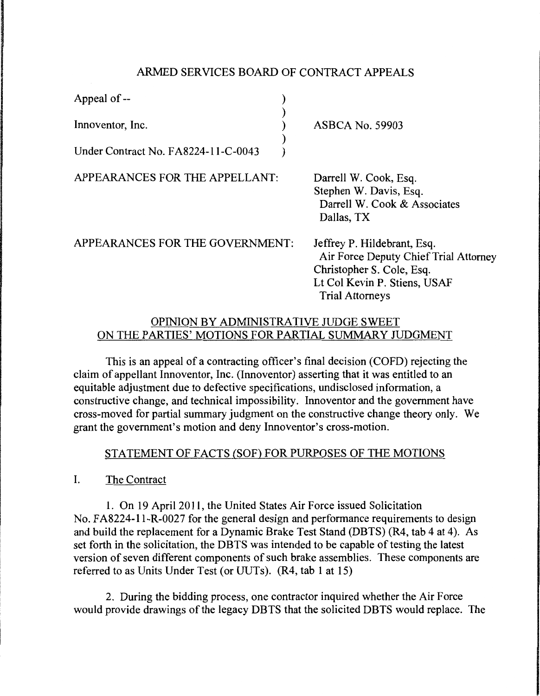## ARMED SERVICES BOARD OF CONTRACT APPEALS

| Appeal of --                        |                        |
|-------------------------------------|------------------------|
| Innoventor, Inc.                    | <b>ASBCA No. 59903</b> |
| Under Contract No. FA8224-11-C-0043 |                        |

APPEARANCES FOR THE APPELLANT:

Darrell W. Cook, Esq. Stephen W. Davis, Esq. Darrell W. Cook & Associates Dallas, TX

APPEARANCES FOR THE GOVERNMENT:

Jeffrey P. Hildebrant, Esq. Air Force Deputy Chief Trial Attorney Christopher S. Cole, Esq. Lt Col Kevin P. Stiens, USAF Trial Attorneys

## OPINION BY ADMINISTRATIVE JUDGE SWEET ON THE PARTIES' MOTIONS FOR PARTIAL SUMMARY JUDGMENT

This is an appeal of a contracting officer's final decision (COFD) rejecting the claim of appellant Innoventor, Inc. (Innoventor) asserting that it was entitled to an equitable adjustment due to defective specifications, undisclosed information, a constructive change, and technical impossibility. Innoventor and the government have cross-moved for partial summary judgment on the constructive change theory only. We grant the government's motion and deny Innoventor's cross-motion.

## STATEMENT OF FACTS (SOF) FOR PURPOSES OF THE MOTIONS

I. The Contract

1. On 19 April 2011, the United States Air Force issued Solicitation No. FA8224-11-R-0027 for the general design and performance requirements to design and build the replacement for a Dynamic Brake Test Stand (DBTS) (R4, tab 4 at 4). As set forth in the solicitation, the DBTS was intended to be capable of testing the latest version of seven different components of such brake assemblies. These components are referred to as Units Under Test (or UUTs). (R4, tab 1 at 15)

2. During the bidding process, one contractor inquired whether the Air Force would provide drawings of the legacy DBTS that the solicited DBTS would replace. The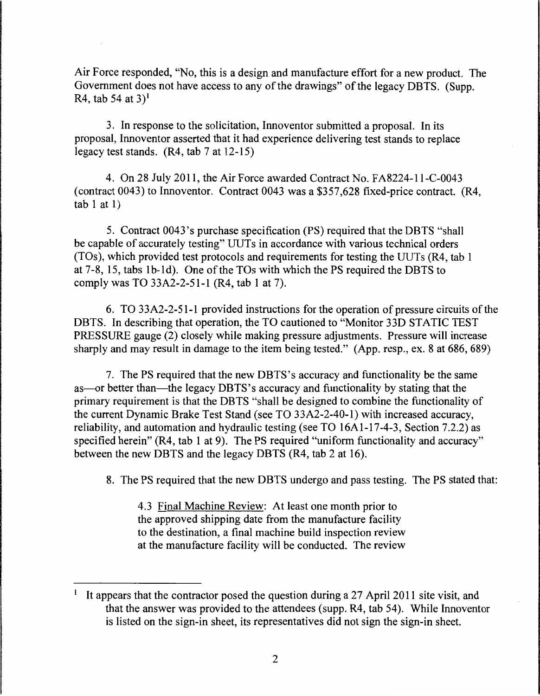Air Force responded, "No, this is a design and manufacture effort for a new product. The Government does not have access to any of the drawings" of the legacy DBTS. (Supp. R4, tab 54 at  $3$ <sup>1</sup>

3. In response to the solicitation, Innoventor submitted a proposal. In its proposal, Innoventor asserted that it had experience delivering test stands to replace legacy test stands. (R4, tab 7 at 12-15)

4. On 28 July 2011, the Air Force awarded Contract No. FA8224-11-C-0043 (contract 0043) to Innoventor. Contract 0043 was a \$357,628 fixed-price contract. (R4,  $tab 1 at 1)$ 

5. Contract 0043 's purchase specification (PS) required that the DBTS "shall be capable of accurately testing" UUTs in accordance with various technical orders (TOs ), which provided test protocols and requirements for testing the UUTs (R4, tab 1 at 7-8, 15, tabs lb-Id). One ofthe TOs with which the PS required the DBTS to comply was TO 33A2-2-51-1 (R4, tab 1 at 7).

6. TO 33A2-2-51-1 provided instructions for the operation of pressure circuits of the DBTS. In describing that operation, the TO cautioned to "Monitor 33D STATIC TEST PRESSURE gauge (2) closely while making pressure adjustments. Pressure will increase sharply and may result in damage to the item being tested." (App. resp., ex. 8 at 686, 689)

7. The PS required that the new DBTS's accuracy and functionality be the same as—or better than—the legacy DBTS's accuracy and functionality by stating that the primary requirement is that the DBTS "shall be designed to combine the functionality of the current Dynamic Brake Test Stand (see TO 33A2-2-40-1) with increased accuracy, reliability, and automation and hydraulic testing (see TO 16Al-17-4-3, Section 7.2.2) as specified herein" (R4, tab 1 at 9). The PS required "uniform functionality and accuracy" between the new DBTS and the legacy DBTS (R4, tab 2 at 16).

8. The PS required that the new DBTS undergo and pass testing. The PS stated that:

4.3 Final Machine Review: At least one month prior to the approved shipping date from the manufacture facility to the destination, a final machine build inspection review at the manufacture facility will be conducted. The review

<sup>&</sup>lt;sup>1</sup> It appears that the contractor posed the question during a 27 April 2011 site visit, and that the answer was provided to the attendees (supp. R4, tab 54). While Innoventor is listed on the sign-in sheet, its representatives did not sign the sign-in sheet.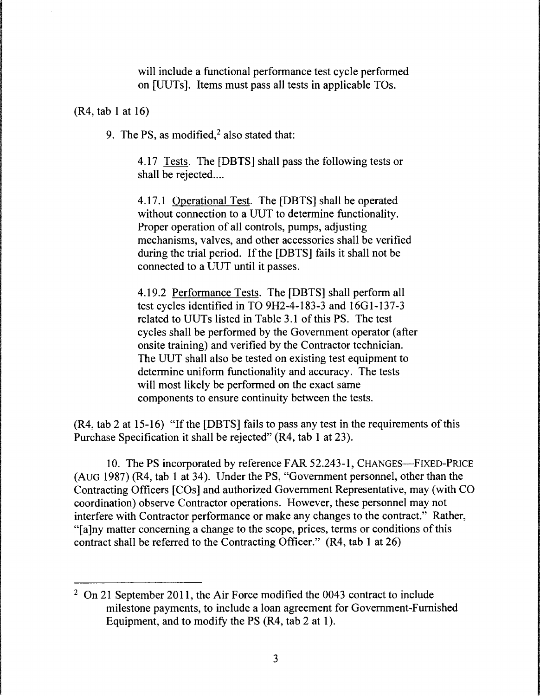will include a functional performance test cycle performed on [UUTs]. Items must pass all tests in applicable TOs.

(R4, tab 1 at 16)

9. The PS, as modified, $<sup>2</sup>$  also stated that:</sup>

4.17 Tests. The [DBTS] shall pass the following tests or shall be rejected....

4.17.1 Operational Test. The [DBTS] shall be operated without connection to a UUT to determine functionality. Proper operation of all controls, pumps, adjusting mechanisms, valves, and other accessories shall be verified during the trial period. If the [DBTS] fails it shall not be connected to a UUT until it passes.

4.19.2 Performance Tests. The [DBTS] shall perform all test cycles identified in TO 9H2-4-183-3 and 16Gl-137-3 related to UUTs listed in Table 3.1 of this PS. The test cycles shall be performed by the Government operator (after onsite training) and verified by the Contractor technician. The UUT shall also be tested on existing test equipment to determine uniform functionality and accuracy. The tests will most likely be performed on the exact same components to ensure continuity between the tests.

(R4, tab 2 at 15-16) "If the [DBTS] fails to pass any test in the requirements of this Purchase Specification it shall be rejected" (R4, tab 1 at 23).

10. The PS incorporated by reference FAR 52.243-1, CHANGES-FIXED-PRICE (AUG 1987) (R4, tab 1 at 34 ). Under the PS, "Government personnel, other than the Contracting Officers [COs] and authorized Government Representative, may (with CO coordination) observe Contractor operations. However, these personnel may not interfere with Contractor performance or make any changes to the contract." Rather, "[a]ny matter concerning a change to the scope, prices, terms or conditions of this contract shall be referred to the Contracting Officer." (R4, tab 1 at 26)

 $2$  On 21 September 2011, the Air Force modified the 0043 contract to include milestone payments, to include a loan agreement for Government-Furnished Equipment, and to modify the PS (R4, tab 2 at 1).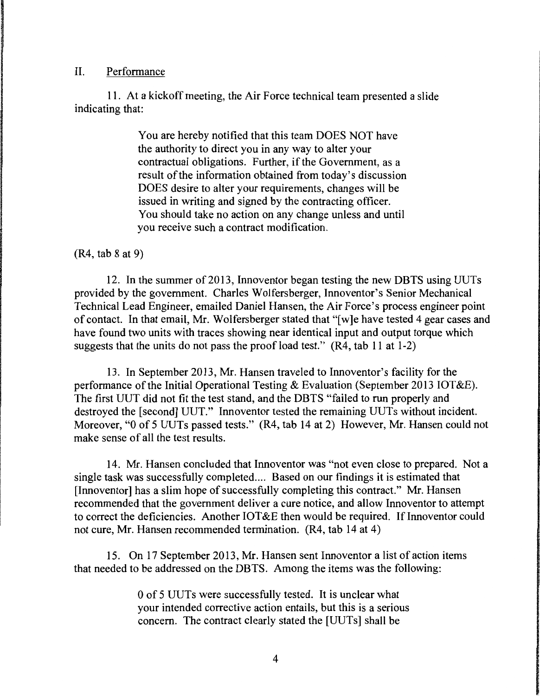#### II. Performance

11. At a kickoff meeting, the Air Force technical team presented a slide indicating that:

> You are hereby notified that this team DOES NOT have the authority to direct you in any way to alter your contractual obligations. Further, if the Government, as a result of the information obtained from today's discussion DOES desire to alter your requirements, changes will be issued in writing and signed by the contracting officer. You should take no action on any change unless and until you receive such a contract modification.

#### (R4, tab 8 at 9)

12. In the summer of 2013, Innoventor began testing the new DBTS using UUTs provided by the government. Charles Wolfersberger, Innoventor's Senior Mechanical Technical Lead Engineer, emailed Daniel Hansen, the Air Force's process engineer point of contact. In that email, Mr. Wolfersberger stated that "[w]e have tested 4 gear cases and have found two units with traces showing near identical input and output torque which suggests that the units do not pass the proof load test." (R4, tab 11 at 1-2)

13. In September 2013, Mr. Hansen traveled to Innoventor's facility for the performance of the Initial Operational Testing & Evaluation (September 2013 IOT&E). The first UUT did not fit the test stand, and the DBTS "failed to run properly and destroyed the [second] UUT." Innoventor tested the remaining UUTs without incident. Moreover, "O of 5 UUTs passed tests." (R4, tab 14 at 2) However, Mr. Hansen could not make sense of all the test results.

14. Mr. Hansen concluded that Innoventor was "not even close to prepared. Not a single task was successfully completed .... Based on our findings it is estimated that [Innoventor] has a slim hope of successfully completing this contract." Mr. Hansen recommended that the government deliver a cure notice, and allow Innoventor to attempt to correct the deficiencies. Another  $IOT&E$  then would be required. If Innoventor could not cure, Mr. Hansen recommended termination. (R4, tab 14 at 4)

15. On 17 September 2013, Mr. Hansen sent Innoventor a list of action items that needed to be addressed on the DBTS. Among the items was the following:

> 0 of 5 UUTs were successfully tested. It is unclear what your intended corrective action entails, but this is a serious concern. The contract clearly stated the [UUTs] shall be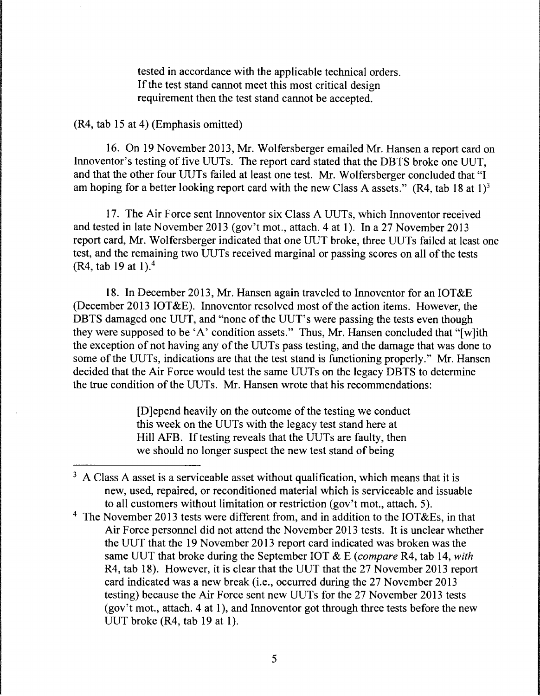tested in accordance with the applicable technical orders. If the test stand cannot meet this most critical design requirement then the test stand cannot be accepted.

## (R4, tab 15 at 4) (Emphasis omitted)

16. On 19 November 2013, Mr. Wolfersberger emailed Mr. Hansen a report card on Innoventor's testing of five UUTs. The report card stated that the DBTS broke one UUT, and that the other four UUTs failed at least one test. Mr. Wolfersberger concluded that "I am hoping for a better looking report card with the new Class A assets." (R4, tab 18 at 1)<sup>3</sup>

17. The Air Force sent Innoventor six Class A UUTs, which Innoventor received and tested in late November 2013 (gov't mot., attach. 4 at 1). In a 27 November 2013 report card, Mr. Wolfersberger indicated that one UUT broke, three UUTs failed at least one test, and the remaining two UUTs received marginal or passing scores on all of the tests (R4, tab 19 at 1).4

18. In December 2013, Mr. Hansen again traveled to Innoventor for an IOT&E (December 2013 IOT&E). Innoventor resolved most of the action items. However, the DBTS damaged one UUT, and "none of the UUT's were passing the tests even though they were supposed to be 'A' condition assets." Thus, Mr. Hansen concluded that "[w]ith the exception of not having any of the UUTs pass testing, and the damage that was done to some of the UUTs, indications are that the test stand is functioning properly." Mr. Hansen decided that the Air Force would test the same UUTs on the legacy DBTS to determine the true condition of the UUTs. Mr. Hansen wrote that his recommendations:

> [D]epend heavily on the outcome of the testing we conduct this week on the UUTs with the legacy test stand here at Hill AFB. If testing reveals that the UUTs are faulty, then we should no longer suspect the new test stand of being

 $3$  A Class A asset is a serviceable asset without qualification, which means that it is new, used, repaired, or reconditioned material which is serviceable and issuable to all customers without limitation or restriction (gov't mot., attach. 5).

<sup>4</sup> The November 2013 tests were different from, and in addition to the IOT&Es, in that Air Force personnel did not attend the November 2013 tests. It is unclear whether the UUT that the 19 November 2013 report card indicated was broken was the same UUT that broke during the September IOT & E *(compare* R4, tab 14, *with*  R4, tab 18). However, it is clear that the UUT that the 27 November 2013 report card indicated was a new break (i.e., occurred during the 27 November 2013 testing) because the Air Force sent new UUTs for the 27 November 2013 tests (gov't mot., attach. 4 at 1), and Innoventor got through three tests before the new UUT broke  $(R4, tab 19 at 1)$ .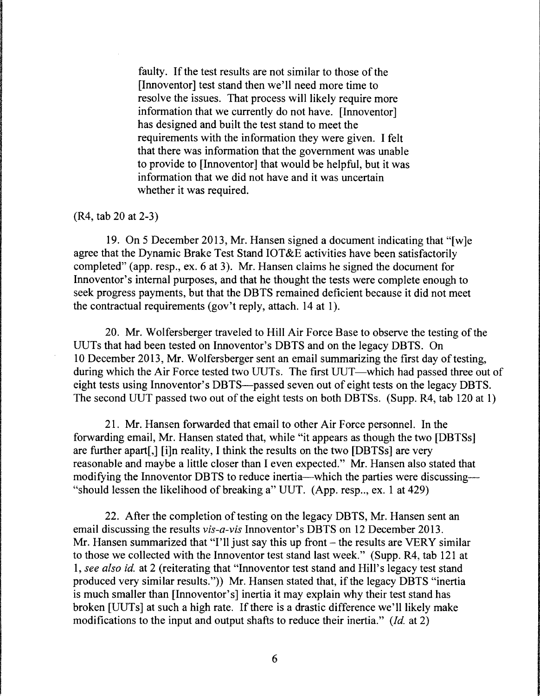faulty. If the test results are not similar to those of the [Innoventor] test stand then we'll need more time to resolve the issues. That process will likely require more information that we currently do not have. [Innoventor] has designed and built the test stand to meet the requirements with the information they were given. I felt that there was information that the government was unable to provide to [Innoventor] that would be helpful, but it was information that we did not have and it was uncertain whether it was required.

#### (R4, tab 20 at 2-3)

19. On 5 December 2013, Mr. Hansen signed a document indicating that "[w]e agree that the Dynamic Brake Test Stand IOT&E activities have been satisfactorily completed" (app. resp., ex. 6 at 3). Mr. Hansen claims he signed the document for Innoventor's internal purposes, and that he thought the tests were complete enough to seek progress payments, but that the DBTS remained deficient because it did not meet the contractual requirements (gov't reply, attach. 14 at 1).

20. Mr. Wolfersberger traveled to Hill Air Force Base to observe the testing of the UUTs that had been tested on Innoventor's DBTS and on the legacy DBTS. On 10 December 2013, Mr. W olfersberger sent an email summarizing the first day of testing, during which the Air Force tested two UUTs. The first UUT—which had passed three out of eight tests using Innoventor's DBTS--passed seven out of eight tests on the legacy DBTS. The second UUT passed two out of the eight tests on both DBTSs. (Supp. R4, tab 120 at 1)

21. Mr. Hansen forwarded that email to other Air Force personnel. In the forwarding email, Mr. Hansen stated that, while "it appears as though the two [DBTSs] are further apart[,] [i]n reality, I think the results on the two [DBTSs] are very reasonable and maybe a little closer than I even expected." Mr. Hansen also stated that modifying the Innoventor DBTS to reduce inertia—which the parties were discussing— "should lessen the likelihood of breaking a" UUT.  $(App. resp., ex. 1 at 429)$ 

22. After the completion of testing on the legacy DBTS, Mr. Hansen sent an email discussing the results *vis-a-vis* Innoventor's DBTS on 12 December 2013. Mr. Hansen summarized that "I'll just say this up front  $-$  the results are VERY similar to those we collected with the Innoventor test stand last week." (Supp. R4, tab 121 at 1, *see also id.* at 2 (reiterating that "Innoventor test stand and Hill's legacy test stand produced very similar results.")) Mr. Hansen stated that, if the legacy DBTS "inertia is much smaller than [Innoventor's] inertia it may explain why their test stand has broken [UUTs] at such a high rate. If there is a drastic difference we'll likely make modifications to the input and output shafts to reduce their inertia." *(Id.* at 2)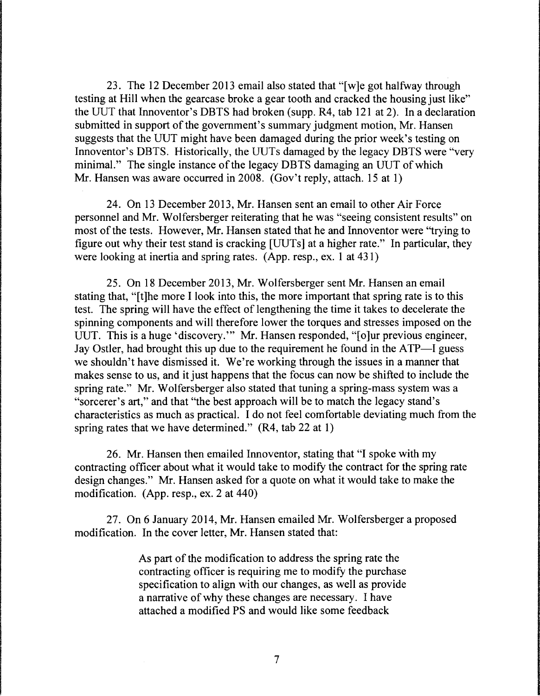23. The 12 December 2013 email also stated that "[ w ]e got halfway through testing at Hill when the gearcase broke a gear tooth and cracked the housing just like" the UUT that Innoventor's DBTS had broken (supp. R4, tab 121 at 2). In a declaration submitted in support of the government's summary judgment motion, Mr. Hansen suggests that the UUT might have been damaged during the prior week's testing on Innoventor's DBTS. Historically, the UUTs damaged by the legacy DBTS were "very minimal." The single instance of the legacy DBTS damaging an UUT of which Mr. Hansen was aware occurred in 2008. (Gov't reply, attach. 15 at 1)

24. On 13 December 2013, Mr. Hansen sent an email to other Air Force personnel and Mr. Wolfersberger reiterating that he was "seeing consistent results" on most of the tests. However, Mr. Hansen stated that he and Innoventor were "trying to figure out why their test stand is cracking [UUTs] at a higher rate." In particular, they were looking at inertia and spring rates. (App. resp., ex. 1 at 431)

25. On 18 December 2013, Mr. Wolfersberger sent Mr. Hansen an email stating that, "[t]he more I look into this, the more important that spring rate is to this test. The spring will have the effect of lengthening the time it takes to decelerate the spinning components and will therefore lower the torques and stresses imposed on the UUT. This is a huge 'discovery.'" Mr. Hansen responded, "[o]ur previous engineer, Jay Ostler, had brought this up due to the requirement he found in the ATP-I guess we shouldn't have dismissed it. We're working through the issues in a manner that makes sense to us, and it just happens that the focus can now be shifted to include the spring rate." Mr. Wolfersberger also stated that tuning a spring-mass system was a "sorcerer's art," and that "the best approach will be to match the legacy stand's characteristics as much as practical. I do not feel comfortable deviating much from the spring rates that we have determined." (R4, tab 22 at 1)

26. Mr. Hansen then emailed Innoventor, stating that "I spoke with my contracting officer about what it would take to modify the contract for the spring rate design changes." Mr. Hansen asked for a quote on what it would take to make the modification. (App. resp., ex. 2 at 440)

27. On 6 January 2014, Mr. Hansen emailed Mr. Wolfersberger a proposed modification. In the cover letter, Mr. Hansen stated that:

> As part of the modification to address the spring rate the contracting officer is requiring me to modify the purchase specification to align with our changes, as well as provide a narrative of why these changes are necessary. I have attached a modified PS and would like some feedback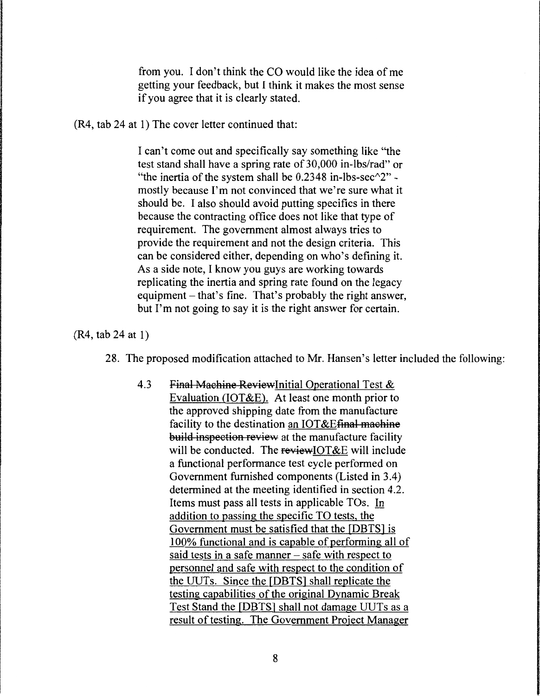from you. I don't think the CO would like the idea of me getting your feedback, but I think it makes the most sense if you agree that it is clearly stated.

(R4, tab 24 at 1) The cover letter continued that:

I can't come out and specifically say something like "the test stand shall have a spring rate of 30,000 in-lbs/rad" or "the inertia of the system shall be  $0.2348$  in-lbs-sec $\gamma$ <sup>2</sup>" mostly because I'm not convinced that we're sure what it should be. I also should avoid putting specifics in there because the contracting office does not like that type of requirement. The government almost always tries to provide the requirement and not the design criteria. This can be considered either, depending on who's defining it. As a side note, I know you guys are working towards replicating the inertia and spring rate found on the legacy equipment- that's fine. That's probably the right answer, but I'm not going to say it is the right answer for certain.

(R4, tab 24 at 1)

- 28. The proposed modification attached to Mr. Hansen's letter included the following:
	- 4.3 Final Machine Review Initial Operational Test & Evaluation (IOT&E). At least one month prior to the approved shipping date from the manufacture facility to the destination an IOT&Efinal machine build inspection review at the manufacture facility will be conducted. The review IOT &E will include a functional performance test cycle performed on Government furnished components (Listed in 3 .4) determined at the meeting identified in section 4.2. Items must pass all tests in applicable TOs. In addition to passing the specific TO tests, the Government must be satisfied that the [DBTS] is 100% functional and is capable of performing all of said tests in a safe manner  $-$  safe with respect to personnel and safe with respect to the condition of the UUTs. Since the [DBTSJ shall replicate the testing capabilities of the original Dynamic Break Test Stand the [DBTSJ shall not damage UUTs as a result of testing. The Government Project Manager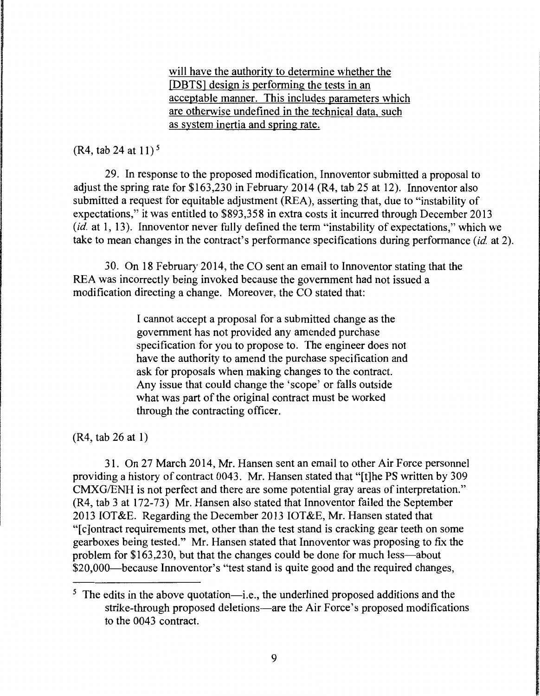will have the authority to determine whether the [DBTS] design is performing the tests in an acceptable manner. This includes parameters which are otherwise undefined in the technical data, such as system inertia and spring rate.

## (R4, tab 24 at 11) *<sup>5</sup>*

29. In response to the proposed modification, Innoventor submitted a proposal to adjust the spring rate for \$163,230 in February 2014 (R4, tab 25 at 12). Innoventor also submitted a request for equitable adjustment (REA), asserting that, due to "instability of expectations," it was entitled to \$893,358 in extra costs it incurred through December 2013 *(id.* at 1, 13). Innoventor never fully defined the term "instability of expectations," which we take to mean changes in the contract's performance specifications during performance *(id.* at 2).

30. On 18 February 2014, the CO sent an email to Innoventor stating that the REA was incorrectly being invoked because the government had not issued a modification directing a change. Moreover, the CO stated that:

> I cannot accept a proposal for a submitted change as the government has not provided any amended purchase specification for you to propose to. The engineer does not have the authority to amend the purchase specification and ask for proposals when making changes to the contract. Any issue that could change the 'scope' or falls outside what was part of the original contract must be worked through the contracting officer.

(R4, tab 26 at 1)

31. On 27 March 2014, Mr. Hansen sent an email to other Air Force personnel providing a history of contract 0043. Mr. Hansen stated that "[t]he PS written by 309 CMXG/ENH is not perfect and there are some potential gray areas of interpretation." (R4, tab 3 at 172-73) Mr. Hansen also stated that Innoventor failed the September 2013 IOT&E. Regarding the December 2013 IOT&E, Mr. Hansen stated that "[ c ]ontract requirements met, other than the test stand is cracking gear teeth on some gearboxes being tested." Mr. Hansen stated that Innoventor was proposing to fix the problem for \$163,230, but that the changes could be done for much less—about \$20,000—because Innoventor's "test stand is quite good and the required changes,

<sup>&</sup>lt;sup>5</sup> The edits in the above quotation—i.e., the underlined proposed additions and the strike-through proposed deletions-are the Air Force's proposed modifications to the 0043 contract.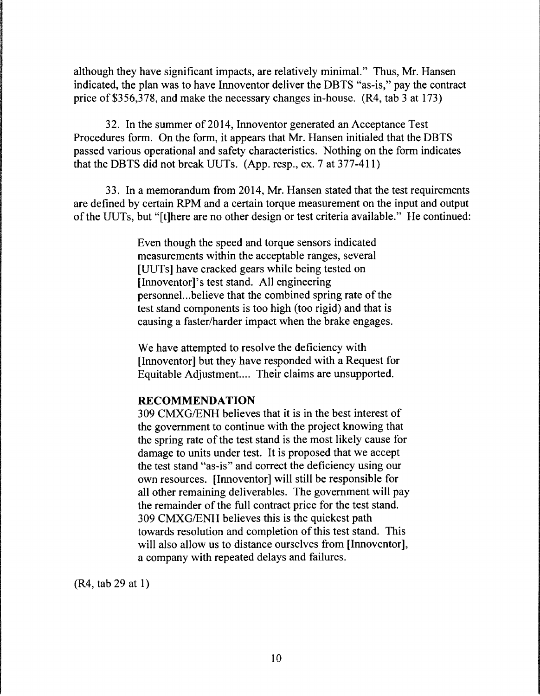although they have significant impacts, are relatively minimal." Thus, Mr. Hansen indicated, the plan was to have Innoventor deliver the DBTS "as-is," pay the contract price of \$356,378, and make the necessary changes in-house. (R4, tab 3 at 173)

32. In the summer of 2014, Innoventor generated an Acceptance Test Procedures form. On the form, it appears that Mr. Hansen initialed that the DBTS passed various operational and safety characteristics. Nothing on the form indicates that the DBTS did not break UUTs. (App. resp., ex. 7 at 377-411)

33. In a memorandum from 2014, Mr. Hansen stated that the test requirements are defined by certain RPM and a certain torque measurement on the input and output of the UUTs, but "[t]here are no other design or test criteria available." He continued:

> Even though the speed and torque sensors indicated measurements within the acceptable ranges, several [UUTs] have cracked gears while being tested on [Innoventor]'s test stand. All engineering personnel. .. believe that the combined spring rate of the test stand components is too high (too rigid) and that is causing a faster/harder impact when the brake engages.

We have attempted to resolve the deficiency with [Innoventor] but they have responded with a Request for Equitable Adjustment.... Their claims are unsupported.

### **RECOMMENDATION**

309 CMXG/ENH believes that it is in the best interest of the government to continue with the project knowing that the spring rate of the test stand is the most likely cause for damage to units under test. It is proposed that we accept the test stand "as-is" and correct the deficiency using our own resources. [Innoventor] will still be responsible for all other remaining deliverables. The government will pay the remainder of the full contract price for the test stand. 309 CMXG/ENH believes this is the quickest path towards resolution and completion of this test stand. This will also allow us to distance ourselves from [Innoventor], a company with repeated delays and failures.

(R4, tab 29 at 1)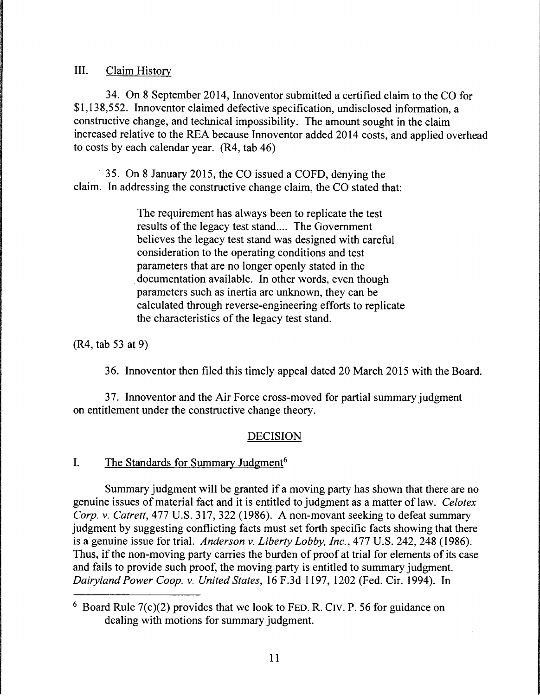III. Claim History

34. On 8 September 2014, Innoventor submitted a certified claim to the CO for \$1,138,552. Innoventor claimed defective specification, undisclosed information, a constructive change, and technical impossibility. The amount sought in the claim increased relative to the REA because Innoventor added 2014 costs, and applied overhead to costs by each calendar year. (R4, tab 46)

· 35. On 8 January 2015, the CO issued a COFD, denying the claim. In addressing the constructive change claim, the CO stated that:

> The requirement has always been to replicate the test results of the legacy test stand.... The Government believes the legacy test stand was designed with careful consideration to the operating conditions and test parameters that are no longer openly stated in the documentation available. In other words, even though parameters such as inertia are unknown, they can be calculated through reverse-engineering efforts to replicate the characteristics of the legacy test stand.

(R4, tab 53 at 9)

36. Innoventor then filed this timely appeal dated 20 March 2015 with the Board.

37. Innoventor and the Air Force cross-moved for partial summary judgment on entitlement under the constructive change theory.

# **DECISION**

## I. The Standards for Summary Judgment<sup>6</sup>

Summary judgment will be granted if a moving party has shown that there are no genuine issues of material fact and it is entitled to judgment as a matter of law. *Celotex Corp.* v. *Catrett,* 477 U.S. 317, 322 (1986). A non-movant seeking to defeat summary judgment by suggesting conflicting facts must set forth specific facts showing that there is a genuine issue for trial. *Anderson* v. *Liberty Lobby, Inc.,* 477 U.S. 242, 248 (1986). Thus, if the non-moving party carries the burden of proof at trial for elements of its case and fails to provide such proof, the moving party is entitled to summary judgment. *Dairyland Power Coop.* v. *United States,* 16 F.3d 1197, 1202 (Fed. Cir. 1994). In

<sup>6</sup> Board Rule 7(c)(2) provides that we look to FED. R. CIV. P. 56 for guidance on dealing with motions for summary judgment.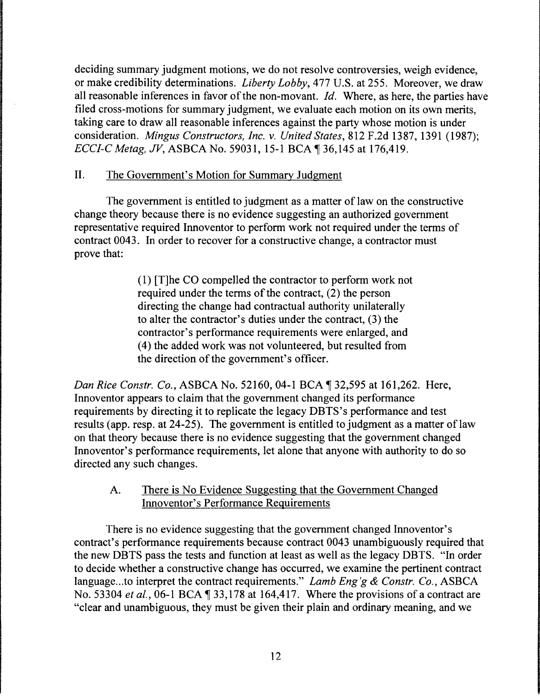deciding summary judgment motions, we do not resolve controversies, weigh evidence, or make credibility determinations. *Liberty Lobby,* 477 U.S. at 255. Moreover, we draw all reasonable inferences in favor of the non-movant. *Id.* Where, as here, the parties have filed cross-motions for summary judgment, we evaluate each motion on its own merits, taking care to draw all reasonable inferences against the party whose motion is under consideration. *Mingus Constructors, Inc. v. United States,* 812 F.2d 1387, 1391 (1987); *ECCI-C Metag, JV*, ASBCA No. 59031, 15-1 BCA 136,145 at 176,419.

## II. The Government's Motion for Summary Judgment

The government is entitled to judgment as a matter of law on the constructive change theory because there is no evidence suggesting an authorized government representative required Innoventor to perform work not required under the terms of contract 0043. In order to recover for a constructive change, a contractor must prove that:

> ( 1) [T]he CO compelled the contractor to perform work not required under the terms of the contract, (2) the person directing the change had contractual authority unilaterally to alter the contractor's duties under the contract, (3) the contractor's performance requirements were enlarged, and ( 4) the added work was not volunteered, but resulted from the direction of the government's officer.

*Dan Rice Constr. Co., ASBCA No.* 52160, 04-1 BCA ¶ 32,595 at 161,262. Here, Innoventor appears to claim that the government changed its performance requirements by directing it to replicate the legacy DBTS's performance and test results (app. resp. at 24-25). The government is entitled to judgment as a matter of law on that theory because there is no evidence suggesting that the government changed Innoventor's performance requirements, let alone that anyone with authority to do so directed any such changes.

## A. There is No Evidence Suggesting that the Government Changed Innoventor's Performance Requirements

There is no evidence suggesting that the government changed Innoventor's contract's performance requirements because contract 0043 unambiguously required that the new DBTS pass the tests and function at least as well as the legacy DBTS. "In order to decide whether a constructive change has occurred, we examine the pertinent contract language ... to interpret the contract requirements." *Lamb Eng'g* & *Constr. Co.,* ASBCA No. 53304 *et al.*, 06-1 BCA  $\parallel$  33, 178 at 164, 417. Where the provisions of a contract are "clear and unambiguous, they must be given their plain and ordinary meaning, and we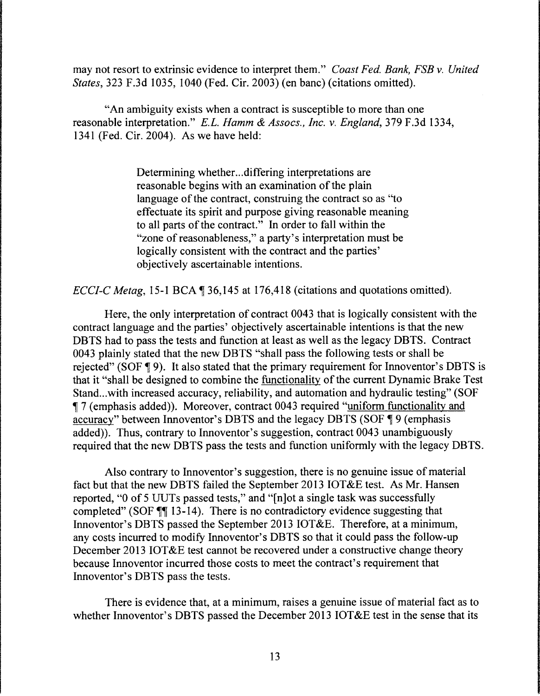may not resort to extrinsic evidence to interpret them." *Coast Fed. Bank, FSB v. United States,* 323 F.3d 1035, 1040 (Fed. Cir. 2003) (en bane) (citations omitted).

"An ambiguity exists when a contract is susceptible to more than one reasonable interpretation." *E.L. Hamm* & *Assocs., Inc. v. England,* 379 F.3d 1334, 1341 (Fed. Cir. 2004). As we have held:

> Determining whether... differing interpretations are reasonable begins with an examination of the plain language of the contract, construing the contract so as "to" effectuate its spirit and purpose giving reasonable meaning to all parts of the contract." In order to fall within the "zone of reasonableness," a party's interpretation must be logically consistent with the contract and the parties' objectively ascertainable intentions.

*ECCI-C Metag,* 15-1 BCA  $\text{\degree}$  36, 145 at 176, 418 (citations and quotations omitted).

Here, the only interpretation of contract 0043 that is logically consistent with the contract language and the parties' objectively ascertainable intentions is that the new DBTS had to pass the tests and function at least as well as the legacy DBTS. Contract 0043 plainly stated that the new DBTS "shall pass the following tests or shall be rejected" (SOF  $\P$ 9). It also stated that the primary requirement for Innoventor's DBTS is that it "shall be designed to combine the functionality of the current Dynamic Brake Test Stand...with increased accuracy, reliability, and automation and hydraulic testing" (SOF <sup>~</sup>7 (emphasis added)). Moreover, contract 0043 required "uniform functionality and accuracy" between Innoventor's DBTS and the legacy DBTS (SOF ¶ 9 (emphasis added)). Thus, contrary to Innoventor's suggestion, contract 0043 unambiguously required that the new DBTS pass the tests and function uniformly with the legacy DBTS.

Also contrary to Innoventor's suggestion, there is no genuine issue of material fact but that the new DBTS failed the September 2013 IOT&E test. As Mr. Hansen reported, "O of 5 UUTs passed tests," and "[n]ot a single task was successfully completed" (SOF  $\P$  13-14). There is no contradictory evidence suggesting that Innoventor's DBTS passed the September 2013 IOT&E. Therefore, at a minimum, any costs incurred to modify Innoventor's DBTS so that it could pass the follow-up December 2013 IOT&E test cannot be recovered under a constructive change theory because Innoventor incurred those costs to meet the contract's requirement that Innoventor's DBTS pass the tests.

There is evidence that, at a minimum, raises a genuine issue of material fact as to whether Innoventor's DBTS passed the December 2013 IOT&E test in the sense that its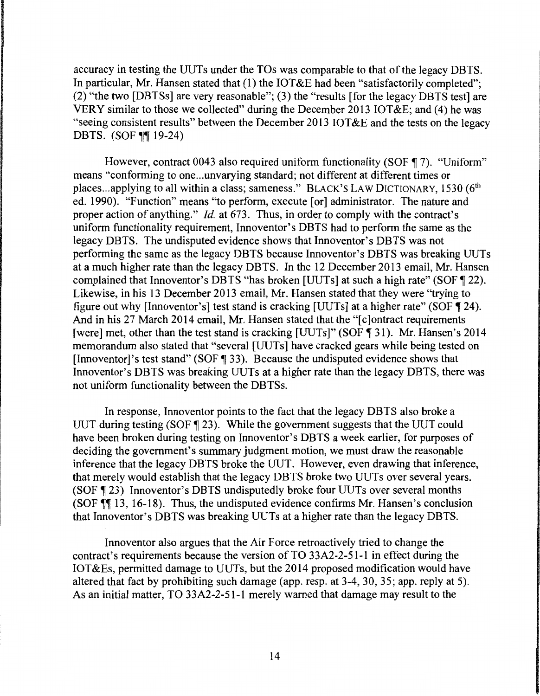accuracy in testing the UUTs under the TOs was comparable to that of the legacy DBTS. In particular, Mr. Hansen stated that (1) the IOT&E had been "satisfactorily completed"; (2) "the two [DBTSs] are very reasonable"; (3) the "results [for the legacy DBTS test] are VERY similar to those we collected" during the December 2013 IOT&E; and (4) he was "seeing consistent results" between the December 2013 IOT&E and the tests on the legacy DBTS. (SOF  $\P\P$ 19-24)

However, contract 0043 also required uniform functionality (SOF  $\P$  7). "Uniform" means "conforming to one...unvarying standard; not different at different times or places...applying to all within a class; sameness." BLACK'S LAW DICTIONARY, 1530 (6<sup>th</sup> ed. 1990). "Function" means "to perform, execute [or] administrator. The nature and proper action of anything." *Id.* at 673. Thus, in order to comply with the contract's uniform functionality requirement, Innoventor's DBTS had to perform the same as the legacy DBTS. The undisputed evidence shows that Innoventor's DBTS was not performing the same as the legacy DBTS because Innoventor's DBTS was breaking UUTs at a much higher rate than the legacy DBTS. In the 12 December 2013 email, Mr. Hansen complained that Innoventor's DBTS "has broken [UUTs] at such a high rate" (SOF  $\P$  22). Likewise, in his 13 December 2013 email, Mr. Hansen stated that they were "trying to figure out why [Innoventor's] test stand is cracking [UUTs] at a higher rate" (SOF  $\P$  24). And in his 27 March 2014 email, Mr. Hansen stated that the "[c]ontract requirements [were] met, other than the test stand is cracking [UUTs]" (SOF 131). Mr. Hansen's 2014 memorandum also stated that "several [UUTs] have cracked gears while being tested on [Innoventor]'s test stand" (SOF  $\lll$  33). Because the undisputed evidence shows that Innoventor's DBTS was breaking UUTs at a higher rate than the legacy DBTS, there was not uniform functionality between the DBTSs.

In response, Innoventor points to the fact that the legacy DBTS also broke a UUT during testing (SOF  $\sqrt{ }$  23). While the government suggests that the UUT could have been broken during testing on Innoventor's DBTS a week earlier, for purposes of deciding the government's summary judgment motion, we must draw the reasonable inference that the legacy DBTS broke the UUT. However, even drawing that inference, that merely would establish that the legacy DBTS broke two UUTs over several years. (SOF 123) Innoventor's DBTS undisputedly broke four UUTs over several months (SOF  $\P$  13, 16-18). Thus, the undisputed evidence confirms Mr. Hansen's conclusion that Innoventor's DBTS was breaking UUTs at a higher rate than the legacy DBTS.

Innoventor also argues that the Air Force retroactively tried to change the contract's requirements because the version of TO 33A2-2-51-1 in effect during the IOT &Es, permitted damage to UUTs, but the 2014 proposed modification would have altered that fact by prohibiting such damage (app. resp. at 3-4, 30, 35; app. reply at 5). As an initial matter, TO 33A2-2-51-1 merely warned that damage may result to the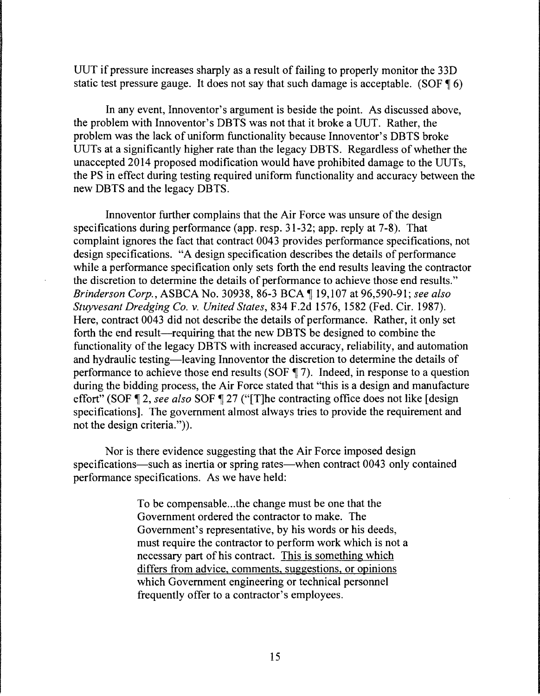UUT if pressure increases sharply as a result of failing to properly monitor the 33D static test pressure gauge. It does not say that such damage is acceptable. (SOF  $\P$  6)

In any event, Innoventor's argument is beside the point. As discussed above, the problem with Innoventor's DBTS was not that it broke a UUT. Rather, the problem was the lack of uniform functionality because Innoventor's DBTS broke UUTs at a significantly higher rate than the legacy DBTS. Regardless of whether the unaccepted 2014 proposed modification would have prohibited damage to the UUTs, the PS in effect during testing required uniform functionality and accuracy between the new DBTS and the legacy DBTS.

Innoventor further complains that the Air Force was unsure of the design specifications during performance (app. resp. 31-32; app. reply at 7-8). That complaint ignores the fact that contract 0043 provides performance specifications, not design specifications. "A design specification describes the details of performance while a performance specification only sets forth the end results leaving the contractor the discretion to determine the details of performance to achieve those end results." *Brinderson Corp., ASBCA No.* 30938, 86-3 BCA ¶ 19,107 at 96,590-91; *see also Stuyvesant Dredging Co. v. United States,* 834 F.2d 1576, 1582 (Fed. Cir. 1987). Here, contract 0043 did not describe the details of performance. Rather, it only set forth the end result—requiring that the new DBTS be designed to combine the functionality of the legacy DBTS with increased accuracy, reliability, and automation and hydraulic testing-leaving Innoventor the discretion to determine the details of performance to achieve those end results (SOF  $\parallel$  7). Indeed, in response to a question during the bidding process, the Air Force stated that "this is a design and manufacture effort" (SOF 12, *see also* SOF 127 ("[T]he contracting office does not like [design] specifications]. The government almost always tries to provide the requirement and not the design criteria.")).

Nor is there evidence suggesting that the Air Force imposed design specifications—such as inertia or spring rates—when contract 0043 only contained performance specifications. As we have held:

> To be compensable ... the change must be one that the Government ordered the contractor to make. The Government's representative, by his words or his deeds, must require the contractor to perform work which is not a necessary part of his contract. This is something which differs from advice, comments, suggestions, or opinions which Government engineering or technical personnel frequently offer to a contractor's employees.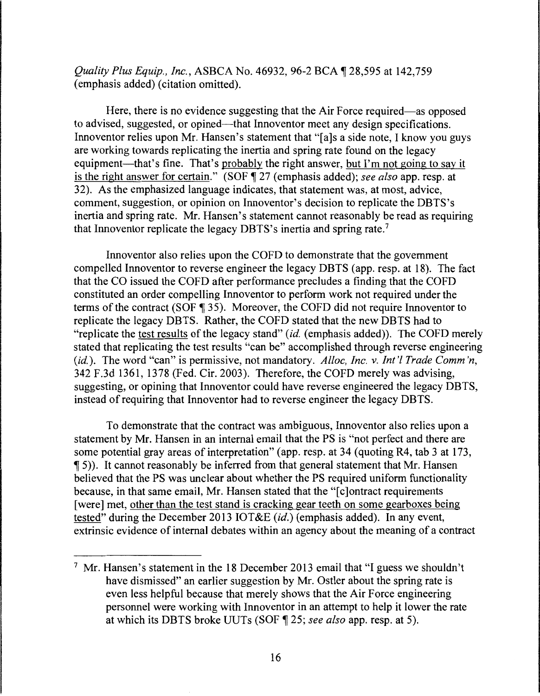*Quality Plus Equip., Inc., ASBCA No.* 46932, 96-2 BCA ¶ 28,595 at 142,759 (emphasis added) (citation omitted).

Here, there is no evidence suggesting that the Air Force required—as opposed to advised, suggested, or opined-that Innoventor meet any design specifications. Innoventor relies upon Mr. Hansen's statement that "[a]s a side note, I know you guys are working towards replicating the inertia and spring rate found on the legacy equipment—that's fine. That's probably the right answer, but I'm not going to say it is the right answer for certain." (SOF  $\sqrt{ }$  27 (emphasis added); *see also* app. resp. at 32). As the emphasized language indicates, that statement was, at most, advice, comment, suggestion, or opinion on Innoventor's decision to replicate the DBTS's inertia and spring rate. Mr. Hansen's statement cannot reasonably be read as requiring that Innoventor replicate the legacy DBTS's inertia and spring rate. <sup>7</sup>

Innoventor also relies upon the COFD to demonstrate that the government compelled Innoventor to reverse engineer the legacy DBTS (app. resp. at 18). The fact that the CO issued the COFD after performance precludes a finding that the COFD constituted an order compelling Innoventor to perform work not required under the terms of the contract (SOF  $\parallel$  35). Moreover, the COFD did not require Innoventor to replicate the legacy DBTS. Rather, the COFD stated that the new DBTS had to "replicate the test results of the legacy stand" *(id.* (emphasis added)). The COFD merely stated that replicating the test results "can be" accomplished through reverse engineering *(id.).* The word "can" is permissive, not mandatory. *Alloc, Inc. v. Int'! Trade Comm 'n,*  342 F.3d 1361, 1378 (Fed. Cir. 2003). Therefore, the COFD merely was advising, suggesting, or opining that Innoventor could have reverse engineered the legacy DBTS, instead of requiring that Innoventor had to reverse engineer the legacy DBTS.

To demonstrate that the contract was ambiguous, lnnoventor also relies upon a statement by Mr. Hansen in an internal email that the PS is "not perfect and there are some potential gray areas of interpretation" (app. resp. at 34 (quoting R4, tab 3 at 173, <sup>~</sup>5)). It cannot reasonably be inferred from that general statement that Mr. Hansen believed that the PS was unclear about whether the PS required uniform functionality because, in that same email, Mr. Hansen stated that the "[c]ontract requirements [were] met, other than the test stand is cracking gear teeth on some gearboxes being tested" during the December 2013 IOT&E *(id.)* (emphasis added). In any event, extrinsic evidence of internal debates within an agency about the meaning of a contract

<sup>&</sup>lt;sup>7</sup> Mr. Hansen's statement in the 18 December 2013 email that "I guess we shouldn't have dismissed" an earlier suggestion by Mr. Ostler about the spring rate is even less helpful because that merely shows that the Air Force engineering personnel were working with Innoventor in an attempt to help it lower the rate at which its DBTS broke UUTs (SOF  $\P$  25; see also app. resp. at 5).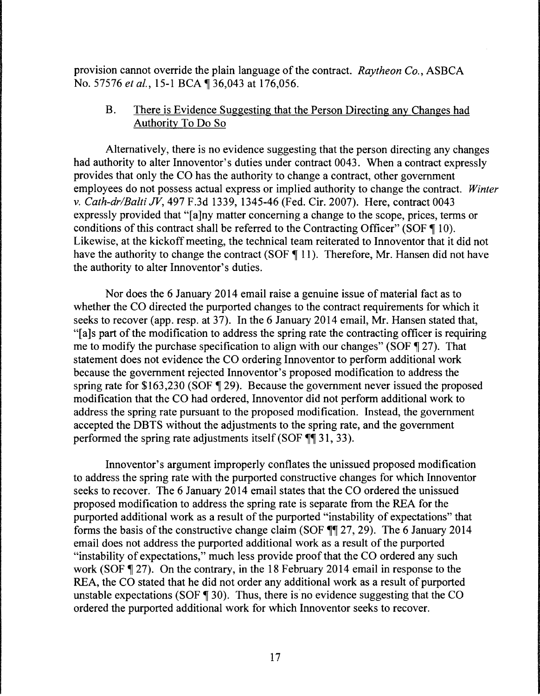provision cannot override the plain language of the contract. *Raytheon Co.,* ASBCA No. 57576 *et al.*, 15-1 BCA ¶ 36,043 at 176,056.

## B. There is Evidence Suggesting that the Person Directing any Changes had Authority To Do So

Alternatively, there is no evidence suggesting that the person directing any changes had authority to alter Innoventor's duties under contract 0043. When a contract expressly provides that only the CO has the authority to change a contract, other government employees do not possess actual express or implied authority to change the contract. *Winter v. Cath-dr/Balti* JV, 497 F.3d 1339, 1345-46 (Fed. Cir. 2007). Here, contract 0043 expressly provided that "[a]ny matter concerning a change to the scope, prices, terms or conditions of this contract shall be referred to the Contracting Officer" (SOF  $\P$  10). Likewise, at the kickoff meeting, the technical team reiterated to Innoventor that it did not have the authority to change the contract (SOF  $\P$  11). Therefore, Mr. Hansen did not have the authority to alter Innoventor's duties.

Nor does the 6 January 2014 email raise a genuine issue of material fact as to whether the CO directed the purported changes to the contract requirements for which it seeks to recover (app. resp. at 37). In the 6 January 2014 email, Mr. Hansen stated that, "[a]s part of the modification to address the spring rate the contracting officer is requiring me to modify the purchase specification to align with our changes" (SOF  $\P$  27). That statement does not evidence the CO ordering Innoventor to perform additional work because the government rejected Innoventor's proposed modification to address the spring rate for  $$163,230$  (SOF  $$29)$ . Because the government never issued the proposed modification that the CO had ordered, Innoventor did not perform additional work to address the spring rate pursuant to the proposed modification. Instead, the government accepted the DBTS without the adjustments to the spring rate, and the government performed the spring rate adjustments itself (SOF  $~$  [ $\parallel$  31, 33).

Innoventor's argument improperly conflates the unissued proposed modification to address the spring rate with the purported constructive changes for which Innoventor seeks to recover. The 6 January 2014 email states that the CO ordered the unissued proposed modification to address the spring rate is separate from the REA for the purported additional work as a result of the purported "instability of expectations" that forms the basis of the constructive change claim (SOF  $\P$  $[27, 29)$ . The 6 January 2014 email does not address the purported additional work as a result of the purported "instability of expectations," much less provide proof that the CO ordered any such work (SOF  $\parallel$  27). On the contrary, in the 18 February 2014 email in response to the REA, the CO stated that he did not order any additional work as a result of purported unstable expectations (SOF  $\parallel$  30). Thus, there is no evidence suggesting that the CO ordered the purported additional work for which Innoventor seeks to recover.